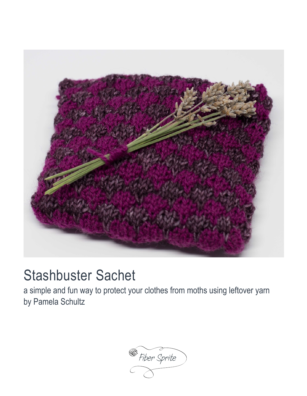

# Stashbuster Sachet

a simple and fun way to protect your clothes from moths using leftover yarn by Pamela Schultz

*Fiber Sprite*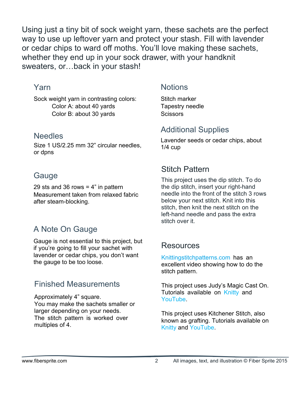Using just a tiny bit of sock weight yarn, these sachets are the perfect way to use up leftover yarn and protect your stash. Fill with lavender or cedar chips to ward off moths. You'll love making these sachets, whether they end up in your sock drawer, with your handknit sweaters, or…back in your stash!

#### Yarn

Sock weight yarn in contrasting colors: Color A: about 40 yards Color B: about 30 yards

#### **Needles**

Size 1 US/2.25 mm 32" circular needles, or dpns

## **Gauge**

29 sts and 36 rows  $=$  4" in pattern Measurement taken from relaxed fabric after steam-blocking.

## A Note On Gauge

Gauge is not essential to this project, but if you're going to fill your sachet with lavender or cedar chips, you don't want the gauge to be too loose.

#### Finished Measurements

Approximately 4" square. You may make the sachets smaller or larger depending on your needs. The stitch pattern is worked over multiples of 4.

#### **Notions**

Stitch marker Tapestry needle **Scissors** 

## Additional Supplies

Lavender seeds or cedar chips, about  $1/4$  cup

## Stitch Pattern

This project uses the dip stitch. To do the dip stitch, insert your right-hand needle into the front of the stitch 3 rows below your next stitch. Knit into this stitch, then knit the next stitch on the left-hand needle and pass the extra stitch over it.

## Resources

[Knittingstitchpatterns.com](http://www.knittingstitchpatterns.com/2015/03/dip-stitch-check.html) has an excellent video showing how to do the stitch pattern.

This project uses Judy's Magic Cast On. Tutorials available on [Knitty](http://knitty.com/ISSUEspring06/FEATmagiccaston.html) and [YouTube.](https://www.youtube.com/watch?v=1pmxRDZ-cwo)

This project uses Kitchener Stitch, also known as grafting. Tutorials available on [Knitty](http://www.knitty.com/ISSUEsummer04/FEATtheresasum04.html) and [YouTube](https://www.youtube.com/watch?v=Q-jEGCUed0s).